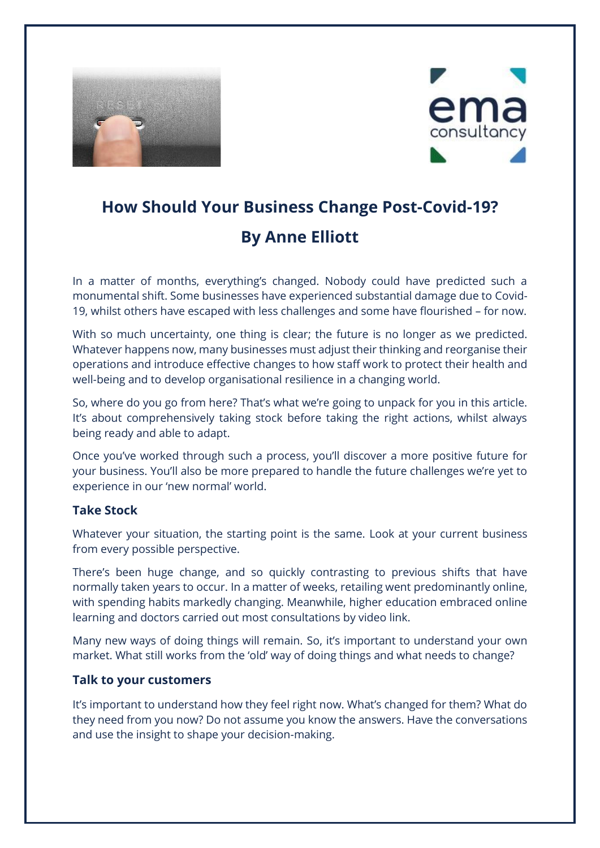



# **How Should Your Business Change Post-Covid-19? By Anne Elliott**

In a matter of months, everything's changed. Nobody could have predicted such a monumental shift. Some businesses have experienced substantial damage due to Covid-19, whilst others have escaped with less challenges and some have flourished – for now.

With so much uncertainty, one thing is clear; the future is no longer as we predicted. Whatever happens now, many businesses must adjust their thinking and reorganise their operations and introduce effective changes to how staff work to protect their health and well-being and to develop organisational resilience in a changing world.

So, where do you go from here? That's what we're going to unpack for you in this article. It's about comprehensively taking stock before taking the right actions, whilst always being ready and able to adapt.

Once you've worked through such a process, you'll discover a more positive future for your business. You'll also be more prepared to handle the future challenges we're yet to experience in our 'new normal' world.

#### **Take Stock**

Whatever your situation, the starting point is the same. Look at your current business from every possible perspective.

There's been huge change, and so quickly contrasting to previous shifts that have normally taken years to occur. In a matter of weeks, retailing went predominantly online, with spending habits markedly changing. Meanwhile, higher education embraced online learning and doctors carried out most consultations by video link.

Many new ways of doing things will remain. So, it's important to understand your own market. What still works from the 'old' way of doing things and what needs to change?

#### **Talk to your customers**

It's important to understand how they feel right now. What's changed for them? What do they need from you now? Do not assume you know the answers. Have the conversations and use the insight to shape your decision-making.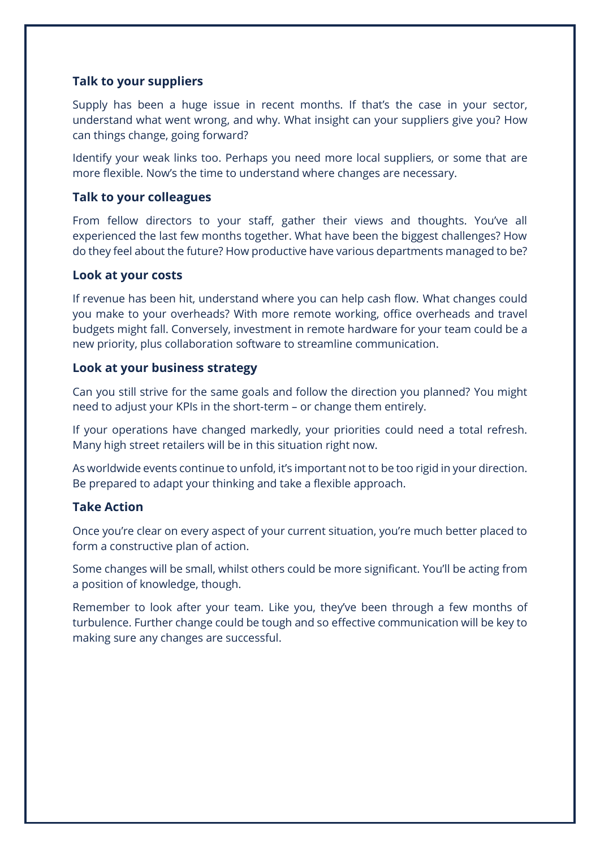## **Talk to your suppliers**

Supply has been a huge issue in recent months. If that's the case in your sector, understand what went wrong, and why. What insight can your suppliers give you? How can things change, going forward?

Identify your weak links too. Perhaps you need more local suppliers, or some that are more flexible. Now's the time to understand where changes are necessary.

#### **Talk to your colleagues**

From fellow directors to your staff, gather their views and thoughts. You've all experienced the last few months together. What have been the biggest challenges? How do they feel about the future? How productive have various departments managed to be?

#### **Look at your costs**

If revenue has been hit, understand where you can help cash flow. What changes could you make to your overheads? With more remote working, office overheads and travel budgets might fall. Conversely, investment in remote hardware for your team could be a new priority, plus collaboration software to streamline communication.

#### **Look at your business strategy**

Can you still strive for the same goals and follow the direction you planned? You might need to adjust your KPIs in the short-term – or change them entirely.

If your operations have changed markedly, your priorities could need a total refresh. Many high street retailers will be in this situation right now.

As worldwide events continue to unfold, it's important not to be too rigid in your direction. Be prepared to adapt your thinking and take a flexible approach.

# **Take Action**

Once you're clear on every aspect of your current situation, you're much better placed to form a constructive plan of action.

Some changes will be small, whilst others could be more significant. You'll be acting from a position of knowledge, though.

Remember to look after your team. Like you, they've been through a few months of turbulence. Further change could be tough and so effective communication will be key to making sure any changes are successful.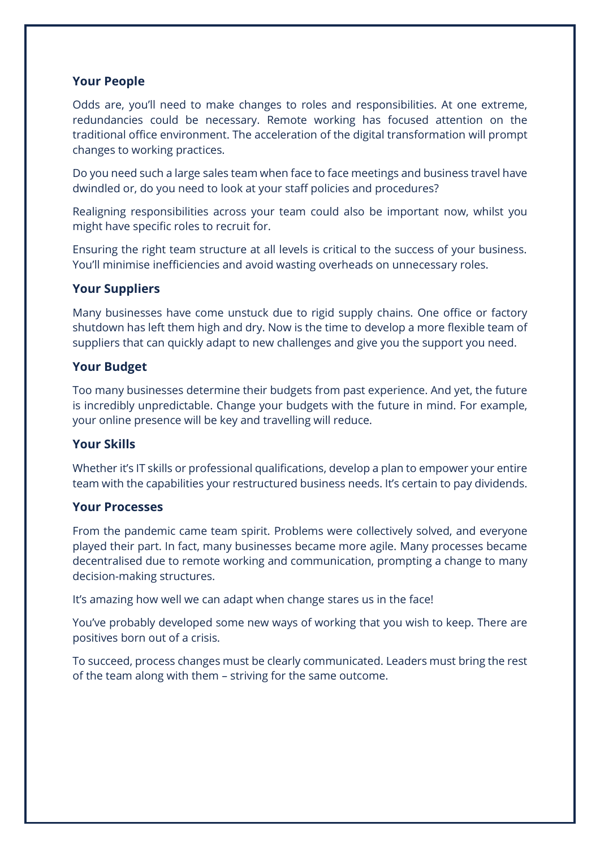## **Your People**

Odds are, you'll need to make changes to roles and responsibilities. At one extreme, redundancies could be necessary. Remote working has focused attention on the traditional office environment. The acceleration of the digital transformation will prompt changes to working practices.

Do you need such a large sales team when face to face meetings and business travel have dwindled or, do you need to look at your staff policies and procedures?

Realigning responsibilities across your team could also be important now, whilst you might have specific roles to recruit for.

Ensuring the right team structure at all levels is critical to the success of your business. You'll minimise inefficiencies and avoid wasting overheads on unnecessary roles.

## **Your Suppliers**

Many businesses have come unstuck due to rigid supply chains. One office or factory shutdown has left them high and dry. Now is the time to develop a more flexible team of suppliers that can quickly adapt to new challenges and give you the support you need.

## **Your Budget**

Too many businesses determine their budgets from past experience. And yet, the future is incredibly unpredictable. Change your budgets with the future in mind. For example, your online presence will be key and travelling will reduce.

#### **Your Skills**

Whether it's IT skills or professional qualifications, develop a plan to empower your entire team with the capabilities your restructured business needs. It's certain to pay dividends.

#### **Your Processes**

From the pandemic came team spirit. Problems were collectively solved, and everyone played their part. In fact, many businesses became more agile. Many processes became decentralised due to remote working and communication, prompting a change to many decision-making structures.

It's amazing how well we can adapt when change stares us in the face!

You've probably developed some new ways of working that you wish to keep. There are positives born out of a crisis.

To succeed, process changes must be clearly communicated. Leaders must bring the rest of the team along with them – striving for the same outcome.